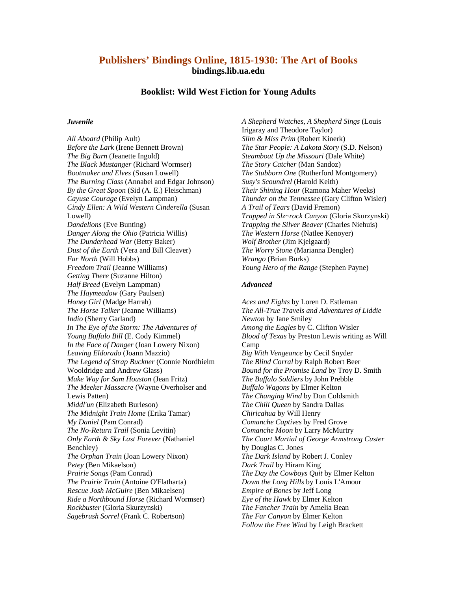## **Publishers' Bindings Online, 1815-1930: The Art of Books bindings.lib.ua.edu**

## **Booklist: Wild West Fiction for Young Adults**

## *Juvenile*

*All Aboard* (Philip Ault) *Before the Lark* (Irene Bennett Brown) *The Big Burn* (Jeanette Ingold) *The Black Mustanger* (Richard Wormser) *Bootmaker and Elves* (Susan Lowell) *The Burning Class* (Annabel and Edgar Johnson) *By the Great Spoon* (Sid (A. E.) Fleischman) *Cayuse Courage* (Evelyn Lampman) *Cindy Ellen: A Wild Western Cinderella* (Susan Lowell) *Dandelions* (Eve Bunting) *Danger Along the Ohio* (Patricia Willis) *The Dunderhead War* (Betty Baker) *Dust of the Earth* (Vera and Bill Cleaver) *Far North* (Will Hobbs) *Freedom Trail* (Jeanne Williams) *Getting There* (Suzanne Hilton) *Half Breed* (Evelyn Lampman) *The Haymeadow* (Gary Paulsen) *Honey Girl* (Madge Harrah) *The Horse Talker* (Jeanne Williams) *Indio* (Sherry Garland) *In The Eye of the Storm: The Adventures of Young Buffalo Bill* (E. Cody Kimmel) *In the Face of Danger* (Joan Lowery Nixon) *Leaving Eldorado* (Joann Mazzio) *The Legend of Strap Buckner* (Connie Nordhielm Wooldridge and Andrew Glass) *Make Way for Sam Houston* (Jean Fritz) *The Meeker Massacre* (Wayne Overholser and Lewis Patten) *Middl'un* (Elizabeth Burleson) *The Midnight Train Home* (Erika Tamar) *My Daniel* (Pam Conrad) *The No-Return Trail* (Sonia Levitin) *Only Earth & Sky Last Forever* (Nathaniel Benchley) *The Orphan Train* (Joan Lowery Nixon) *Petey* (Ben Mikaelson) *Prairie Songs* (Pam Conrad) *The Prairie Train* (Antoine O'Flatharta) *Rescue Josh McGuire* (Ben Mikaelsen) *Ride a Northbound Horse* (Richard Wormser) *Rockbuster* (Gloria Skurzynski) *Sagebrush Sorrel* (Frank C. Robertson)

*A Shepherd Watches, A Shepherd Sings* (Louis Irigaray and Theodore Taylor) *Slim & Miss Prim* (Robert Kinerk) *The Star People: A Lakota Story* (S.D. Nelson) *Steamboat Up the Missouri* (Dale White) *The Story Catcher* (Man Sandoz) *The Stubborn One* (Rutherford Montgomery) *Susy's Scoundrel* (Harold Keith) *Their Shining Hour* (Ramona Maher Weeks) *Thunder on the Tennessee* (Gary Clifton Wisler) *A Trail of Tears* (David Fremon) *Trapped in Slz~rock Canyon* (Gloria Skurzynski) *Trapping the Silver Beaver* (Charles Niehuis) *The Western Horse* (Natlee Kenoyer) *Wolf Brother* (Jim Kjelgaard) *The Worry Stone* (Marianna Dengler) *Wrango* (Brian Burks) *Young Hero of the Range* (Stephen Payne)

## *Advanced*

*Aces and Eights* by Loren D. Estleman *The All-True Travels and Adventures of Liddie Newton* by Jane Smiley *Among the Eagles* by C. Clifton Wisler *Blood of Texas* by Preston Lewis writing as Will Camp *Big With Vengeance* by Cecil Snyder *The Blind Corral* by Ralph Robert Beer *Bound for the Promise Land* by Troy D. Smith *The Buffalo Soldiers* by John Prebble *Buffalo Wagons* by Elmer Kelton *The Changing Wind* by Don Coldsmith *The Chili Queen* by Sandra Dallas *Chiricahua* by Will Henry *Comanche Captives* by Fred Grove *Comanche Moon* by Larry McMurtry *The Court Martial of George Armstrong Custer*  by Douglas C. Jones *The Dark Island* by Robert J. Conley *Dark Trail* by Hiram King *The Day the Cowboys Quit* by Elmer Kelton *Down the Long Hills* by Louis L'Amour *Empire of Bones* by Jeff Long *Eye of the Hawk* by Elmer Kelton *The Fancher Train* by Amelia Bean *The Far Canyon* by Elmer Kelton *Follow the Free Wind* by Leigh Brackett